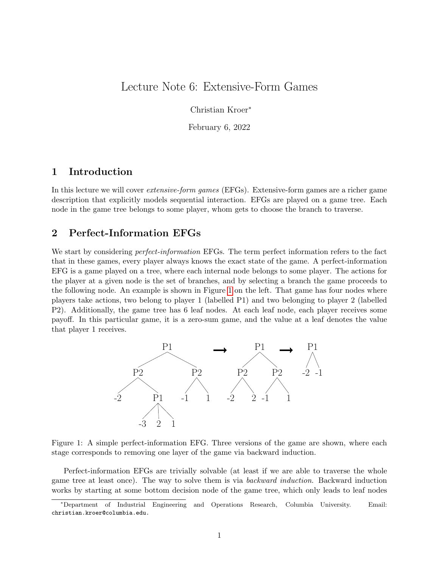# Lecture Note 6: Extensive-Form Games

Christian Kroer<sup>∗</sup>

February 6, 2022

# 1 Introduction

In this lecture we will cover extensive-form games (EFGs). Extensive-form games are a richer game description that explicitly models sequential interaction. EFGs are played on a game tree. Each node in the game tree belongs to some player, whom gets to choose the branch to traverse.

### 2 Perfect-Information EFGs

We start by considering *perfect-information* EFGs. The term perfect information refers to the fact that in these games, every player always knows the exact state of the game. A perfect-information EFG is a game played on a tree, where each internal node belongs to some player. The actions for the player at a given node is the set of branches, and by selecting a branch the game proceeds to the following node. An example is shown in Figure [1](#page-0-0) on the left. That game has four nodes where players take actions, two belong to player 1 (labelled P1) and two belonging to player 2 (labelled P2). Additionally, the game tree has 6 leaf nodes. At each leaf node, each player receives some payoff. In this particular game, it is a zero-sum game, and the value at a leaf denotes the value that player 1 receives.



<span id="page-0-0"></span>Figure 1: A simple perfect-information EFG. Three versions of the game are shown, where each stage corresponds to removing one layer of the game via backward induction.

Perfect-information EFGs are trivially solvable (at least if we are able to traverse the whole game tree at least once). The way to solve them is via backward induction. Backward induction works by starting at some bottom decision node of the game tree, which only leads to leaf nodes

<sup>∗</sup>Department of Industrial Engineering and Operations Research, Columbia University. Email: christian.kroer@columbia.edu.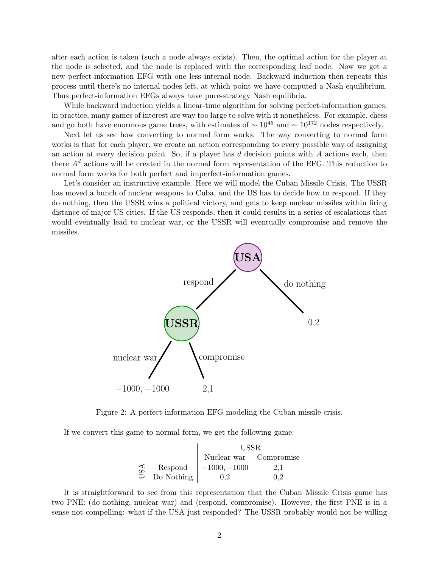after each action is taken (such a node always exists). Then, the optimal action for the player at the node is selected, and the node is replaced with the corresponding leaf node. Now we get a new perfect-information EFG with one less internal node. Backward induction then repeats this process until there's no internal nodes left, at which point we have computed a Nash equilibrium. Thus perfect-information EFGs always have pure-strategy Nash equilibria.

While backward induction yields a linear-time algorithm for solving perfect-information games, in practice, many games of interest are way too large to solve with it nonetheless. For example, chess and go both have enormous game trees, with estimates of  $\sim 10^{45}$  and  $\sim 10^{172}$  nodes respectively.

Next let us see how converting to normal form works. The way converting to normal form works is that for each player, we create an action corresponding to every possible way of assigning an action at every decision point. So, if a player has  $d$  decision points with  $A$  actions each, then there  $A^d$  actions will be created in the normal form representation of the EFG. This reduction to normal form works for both perfect and imperfect-information games.

Let's consider an instructive example. Here we will model the Cuban Missile Crisis. The USSR has moved a bunch of nuclear weapons to Cuba, and the US has to decide how to respond. If they do nothing, then the USSR wins a political victory, and gets to keep nuclear missiles within firing distance of major US cities. If the US responds, then it could results in a series of escalations that would eventually lead to nuclear war, or the USSR will eventually compromise and remove the missiles.



Figure 2: A perfect-information EFG modeling the Cuban missile crisis.

If we convert this game to normal form, we get the following game:

|     |            | USSR.                  |         |  |
|-----|------------|------------------------|---------|--|
|     |            | Nuclear war Compromise |         |  |
| USA | Respond    | $-1000, -1000$         | $2.1\,$ |  |
|     | Do Nothing |                        |         |  |

It is straightforward to see from this representation that the Cuban Missile Crisis game has two PNE: (do nothing, nuclear war) and (respond, compromise). However, the first PNE is in a sense not compelling: what if the USA just responded? The USSR probably would not be willing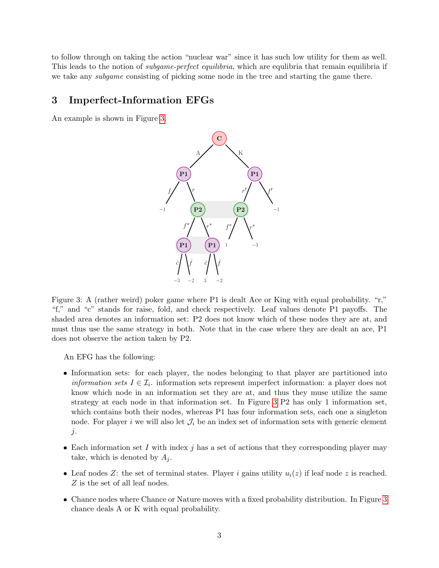to follow through on taking the action "nuclear war" since it has such low utility for them as well. This leads to the notion of *subgame-perfect equilibria*, which are equilibria that remain equilibria if we take any subgame consisting of picking some node in the tree and starting the game there.

## 3 Imperfect-Information EFGs

An example is shown in Figure [3.](#page-2-0)



<span id="page-2-0"></span>Figure 3: A (rather weird) poker game where P1 is dealt Ace or King with equal probability. "r," "f," and "c" stands for raise, fold, and check respectively. Leaf values denote P1 payoffs. The shaded area denotes an information set: P2 does not know which of these nodes they are at, and must thus use the same strategy in both. Note that in the case where they are dealt an ace, P1 does not observe the action taken by P2.

An EFG has the following:

- Information sets: for each player, the nodes belonging to that player are partitioned into *information sets*  $I \in \mathcal{I}_i$ . information sets represent imperfect information: a player does not know which node in an information set they are at, and thus they muse utilize the same strategy at each node in that information set. In Figure [3](#page-2-0) P2 has only 1 information set, which contains both their nodes, whereas P1 has four information sets, each one a singleton node. For player i we will also let  $\mathcal{J}_i$  be an index set of information sets with generic element  $j$ .
- Each information set I with index j has a set of actions that they corresponding player may take, which is denoted by  $A_i$ .
- Leaf nodes Z: the set of terminal states. Player i gains utility  $u_i(z)$  if leaf node z is reached. Z is the set of all leaf nodes.
- Chance nodes where Chance or Nature moves with a fixed probability distribution. In Figure [3](#page-2-0) chance deals A or K with equal probability.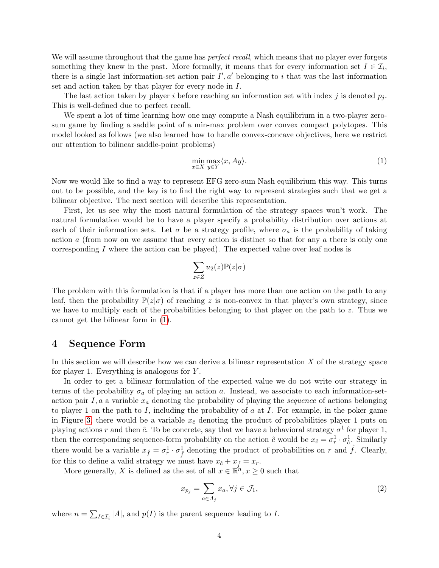We will assume throughout that the game has *perfect recall*, which means that no player ever forgets something they knew in the past. More formally, it means that for every information set  $I \in \mathcal{I}_i$ , there is a single last information-set action pair  $I', a'$  belonging to i that was the last information set and action taken by that player for every node in I.

The last action taken by player i before reaching an information set with index j is denoted  $p_i$ . This is well-defined due to perfect recall.

We spent a lot of time learning how one may compute a Nash equilibrium in a two-player zerosum game by finding a saddle point of a min-max problem over convex compact polytopes. This model looked as follows (we also learned how to handle convex-concave objectives, here we restrict our attention to bilinear saddle-point problems)

<span id="page-3-0"></span>
$$
\min_{x \in X} \max_{y \in Y} \langle x, Ay \rangle. \tag{1}
$$

Now we would like to find a way to represent EFG zero-sum Nash equilibrium this way. This turns out to be possible, and the key is to find the right way to represent strategies such that we get a bilinear objective. The next section will describe this representation.

First, let us see why the most natural formulation of the strategy spaces won't work. The natural formulation would be to have a player specify a probability distribution over actions at each of their information sets. Let  $\sigma$  be a strategy profile, where  $\sigma_a$  is the probability of taking action  $\alpha$  (from now on we assume that every action is distinct so that for any  $\alpha$  there is only one corresponding I where the action can be played). The expected value over leaf nodes is

$$
\sum_{z\in Z} u_2(z) \mathbb{P}(z|\sigma)
$$

The problem with this formulation is that if a player has more than one action on the path to any leaf, then the probability  $\mathbb{P}(z|\sigma)$  of reaching z is non-convex in that player's own strategy, since we have to multiply each of the probabilities belonging to that player on the path to  $z$ . Thus we cannot get the bilinear form in [\(1\)](#page-3-0).

#### 4 Sequence Form

In this section we will describe how we can derive a bilinear representation  $X$  of the strategy space for player 1. Everything is analogous for Y .

In order to get a bilinear formulation of the expected value we do not write our strategy in terms of the probability  $\sigma_a$  of playing an action a. Instead, we associate to each information-setaction pair  $I, a$  a variable  $x_a$  denoting the probability of playing the *sequence* of actions belonging to player 1 on the path to I, including the probability of  $a$  at I. For example, in the poker game in Figure [3,](#page-2-0) there would be a variable  $x_{\hat{c}}$  denoting the product of probabilities player 1 puts on playing actions r and then  $\hat{c}$ . To be concrete, say that we have a behavioral strategy  $\sigma^1$  for player 1, then the corresponding sequence-form probability on the action  $\hat{c}$  would be  $x_{\hat{c}} = \sigma_r^1 \cdot \sigma_{\hat{c}}^1$ . Similarly there would be a variable  $x_{\hat{f}} = \sigma_r^1 \cdot \sigma_{\hat{f}}^1$  denoting the product of probabilities on r and  $\hat{f}$ . Clearly, for this to define a valid strategy we must have  $x_{\hat{c}} + x_{\hat{f}} = x_r$ .

More generally, X is defined as the set of all  $x \in \mathbb{R}^n, x \ge 0$  such that

$$
x_{p_j} = \sum_{a \in A_j} x_a, \forall j \in \mathcal{J}_1,\tag{2}
$$

where  $n = \sum_{I \in \mathcal{I}_i} |A|$ , and  $p(I)$  is the parent sequence leading to I.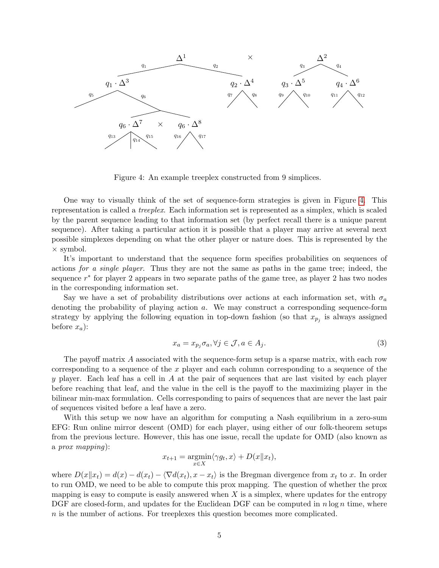

<span id="page-4-0"></span>Figure 4: An example treeplex constructed from 9 simplices.

One way to visually think of the set of sequence-form strategies is given in Figure [4.](#page-4-0) This representation is called a treeplex. Each information set is represented as a simplex, which is scaled by the parent sequence leading to that information set (by perfect recall there is a unique parent sequence). After taking a particular action it is possible that a player may arrive at several next possible simplexes depending on what the other player or nature does. This is represented by the × symbol.

It's important to understand that the sequence form specifies probabilities on sequences of actions for a single player. Thus they are not the same as paths in the game tree; indeed, the sequence  $r^*$  for player 2 appears in two separate paths of the game tree, as player 2 has two nodes in the corresponding information set.

Say we have a set of probability distributions over actions at each information set, with  $\sigma_a$ denoting the probability of playing action a. We may construct a corresponding sequence-form strategy by applying the following equation in top-down fashion (so that  $x_{p_j}$  is always assigned before  $x_a$ ):

$$
x_a = x_{p_j} \sigma_a, \forall j \in \mathcal{J}, a \in A_j.
$$
\n<sup>(3)</sup>

The payoff matrix A associated with the sequence-form setup is a sparse matrix, with each row corresponding to a sequence of the x player and each column corresponding to a sequence of the y player. Each leaf has a cell in A at the pair of sequences that are last visited by each player before reaching that leaf, and the value in the cell is the payoff to the maximizing player in the bilinear min-max formulation. Cells corresponding to pairs of sequences that are never the last pair of sequences visited before a leaf have a zero.

With this setup we now have an algorithm for computing a Nash equilibrium in a zero-sum EFG: Run online mirror descent (OMD) for each player, using either of our folk-theorem setups from the previous lecture. However, this has one issue, recall the update for OMD (also known as a prox mapping):

$$
x_{t+1} = \underset{x \in X}{\operatorname{argmin}} \langle \gamma g_t, x \rangle + D(x \| x_t),
$$

where  $D(x||x_t) = d(x) - d(x_t) - \langle \nabla d(x_t), x - x_t \rangle$  is the Bregman divergence from  $x_t$  to x. In order to run OMD, we need to be able to compute this prox mapping. The question of whether the prox mapping is easy to compute is easily answered when  $X$  is a simplex, where updates for the entropy DGF are closed-form, and updates for the Euclidean DGF can be computed in  $n \log n$  time, where n is the number of actions. For treeplexes this question becomes more complicated.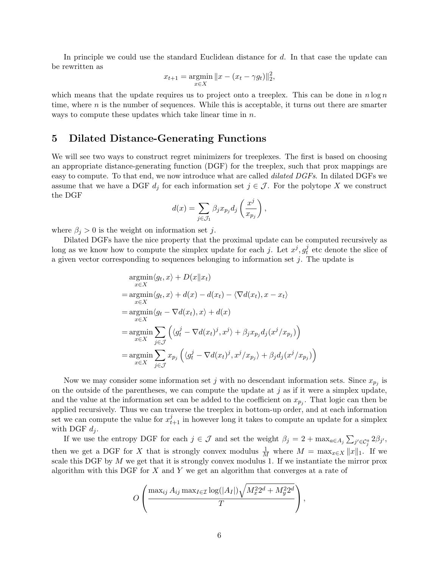In principle we could use the standard Euclidean distance for d. In that case the update can be rewritten as

$$
x_{t+1} = \underset{x \in X}{\text{argmin}} \|x - (x_t - \gamma g_t)\|_2^2,
$$

which means that the update requires us to project onto a treeplex. This can be done in  $n \log n$ time, where  $n$  is the number of sequences. While this is acceptable, it turns out there are smarter ways to compute these updates which take linear time in n.

#### 5 Dilated Distance-Generating Functions

We will see two ways to construct regret minimizers for treeplexes. The first is based on choosing an appropriate distance-generating function (DGF) for the treeplex, such that prox mappings are easy to compute. To that end, we now introduce what are called *dilated DGFs*. In dilated DGFs we assume that we have a DGF  $d_i$  for each information set  $j \in \mathcal{J}$ . For the polytope X we construct the DGF

$$
d(x) = \sum_{j \in \mathcal{J}_1} \beta_j x_{p_j} d_j \left(\frac{x^j}{x_{p_j}}\right),\,
$$

where  $\beta_j > 0$  is the weight on information set j.

Dilated DGFs have the nice property that the proximal update can be computed recursively as long as we know how to compute the simplex update for each j. Let  $x^j$ ,  $g_t^j$  $t<sub>t</sub>$  etc denote the slice of a given vector corresponding to sequences belonging to information set  $j$ . The update is

$$
\underset{x \in X}{\operatorname{argmin}} \langle g_t, x \rangle + D(x \| x_t)
$$
\n
$$
= \underset{x \in X}{\operatorname{argmin}} \langle g_t, x \rangle + d(x) - d(x_t) - \langle \nabla d(x_t), x - x_t \rangle
$$
\n
$$
= \underset{x \in X}{\operatorname{argmin}} \langle g_t - \nabla d(x_t), x \rangle + d(x)
$$
\n
$$
= \underset{x \in X}{\operatorname{argmin}} \sum_{j \in \mathcal{J}} \left( \langle g_t^j - \nabla d(x_t)^j, x^j \rangle + \beta_j x_{p_j} d_j(x^j / x_{p_j}) \right)
$$
\n
$$
= \underset{x \in X}{\operatorname{argmin}} \sum_{j \in \mathcal{J}} x_{p_j} \left( \langle g_t^j - \nabla d(x_t)^j, x^j / x_{p_j} \rangle + \beta_j d_j(x^j / x_{p_j}) \right)
$$

Now we may consider some information set j with no descendant information sets. Since  $x_{p_j}$  is on the outside of the parentheses, we can compute the update at  $j$  as if it were a simplex update, and the value at the information set can be added to the coefficient on  $x_{p_j}$ . That logic can then be applied recursively. Thus we can traverse the treeplex in bottom-up order, and at each information set we can compute the value for  $x_{t+1}^j$  in however long it takes to compute an update for a simplex with DGF  $d_j$ .

If we use the entropy DGF for each  $j \in \mathcal{J}$  and set the weight  $\beta_j = 2 + \max_{a \in A_j} \sum_{j' \in C_j^a} 2\beta_{j'}$ , then we get a DGF for X that is strongly convex modulus  $\frac{1}{M}$  where  $M = \max_{x \in X} ||x||_1$ . If we scale this DGF by  $M$  we get that it is strongly convex modulus 1. If we instantiate the mirror prox algorithm with this DGF for  $X$  and  $Y$  we get an algorithm that converges at a rate of

$$
O\left(\frac{\max_{ij} A_{ij} \max_{I \in \mathcal{I}} \log(|A_I|) \sqrt{M_x^2 2^d + M_y^2 2^d}}{T}\right),\,
$$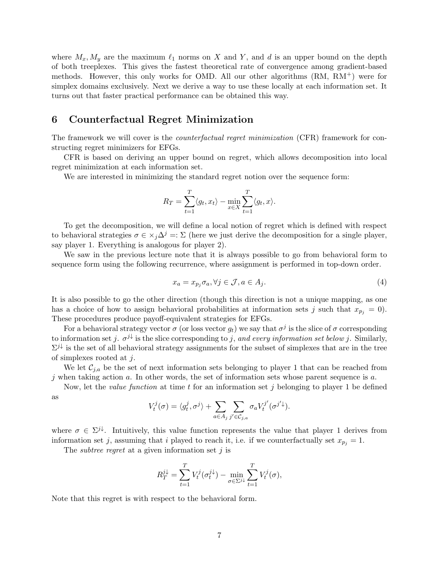where  $M_x, M_y$  are the maximum  $\ell_1$  norms on X and Y, and d is an upper bound on the depth of both treeplexes. This gives the fastest theoretical rate of convergence among gradient-based methods. However, this only works for OMD. All our other algorithms  $(RM, RM^+)$  were for simplex domains exclusively. Next we derive a way to use these locally at each information set. It turns out that faster practical performance can be obtained this way.

### 6 Counterfactual Regret Minimization

The framework we will cover is the *counterfactual regret minimization* (CFR) framework for constructing regret minimizers for EFGs.

CFR is based on deriving an upper bound on regret, which allows decomposition into local regret minimization at each information set.

We are interested in minimizing the standard regret notion over the sequence form:

$$
R_T = \sum_{t=1}^T \langle g_t, x_t \rangle - \min_{x \in X} \sum_{t=1}^T \langle g_t, x \rangle.
$$

To get the decomposition, we will define a local notion of regret which is defined with respect to behavioral strategies  $\sigma \in \times_i \Delta^j =: \Sigma$  (here we just derive the decomposition for a single player, say player 1. Everything is analogous for player 2).

We saw in the previous lecture note that it is always possible to go from behavioral form to sequence form using the following recurrence, where assignment is performed in top-down order.

<span id="page-6-0"></span>
$$
x_a = x_{p_j} \sigma_a, \forall j \in \mathcal{J}, a \in A_j.
$$
\n<sup>(4)</sup>

It is also possible to go the other direction (though this direction is not a unique mapping, as one has a choice of how to assign behavioral probabilities at information sets j such that  $x_{p_i} = 0$ . These procedures produce payoff-equivalent strategies for EFGs.

For a behavioral strategy vector  $\sigma$  (or loss vector  $g_t$ ) we say that  $\sigma^j$  is the slice of  $\sigma$  corresponding to information set j.  $\sigma^{j\downarrow}$  is the slice corresponding to j, and every information set below j. Similarly,  $\Sigma^{j\downarrow}$  is the set of all behavioral strategy assignments for the subset of simplexes that are in the tree of simplexes rooted at  $j$ .

We let  $\mathcal{C}_{j,a}$  be the set of next information sets belonging to player 1 that can be reached from j when taking action  $a$ . In other words, the set of information sets whose parent sequence is  $a$ .

Now, let the *value function* at time t for an information set j belonging to player 1 be defined as

$$
V_t^j(\sigma) = \langle g_t^j, \sigma^j \rangle + \sum_{a \in A_j} \sum_{j' \in C_{j,a}} \sigma_a V_t^{j'}(\sigma^{j'}\downarrow).
$$

where  $\sigma \in \Sigma^{j\downarrow}$ . Intuitively, this value function represents the value that player 1 derives from information set j, assuming that i played to reach it, i.e. if we counterfactually set  $x_{p_j} = 1$ .

The *subtree regret* at a given information set  $j$  is

$$
R_T^{j\downarrow} = \sum_{t=1}^T V_t^j (\sigma_t^{j\downarrow}) - \min_{\sigma \in \Sigma^{j\downarrow}} \sum_{t=1}^T V_t^j (\sigma),
$$

Note that this regret is with respect to the behavioral form.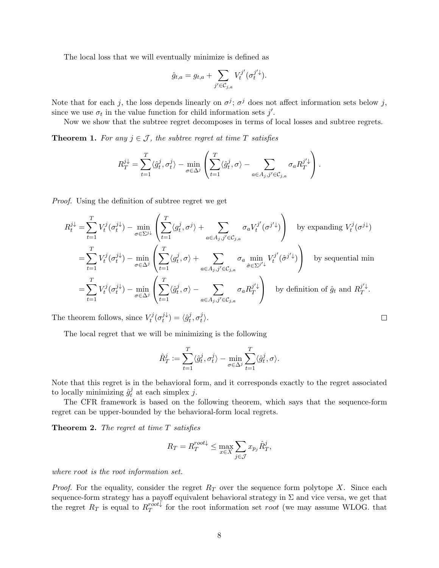The local loss that we will eventually minimize is defined as

$$
\hat{g}_{t,a} = g_{t,a} + \sum_{j' \in C_{j,a}} V_t^{j'} (\sigma_t^{j'} \downarrow).
$$

Note that for each j, the loss depends linearly on  $\sigma^j$ ;  $\sigma^j$  does not affect information sets below j, since we use  $\sigma_t$  in the value function for child information sets j'.

Now we show that the subtree regret decomposes in terms of local losses and subtree regrets.

<span id="page-7-0"></span>**Theorem 1.** For any  $j \in \mathcal{J}$ , the subtree regret at time T satisfies

$$
R_T^{j\downarrow} = \sum_{t=1}^T \langle \hat{g}_t^j, \sigma_t^j \rangle - \min_{\sigma \in \Delta^j} \left( \sum_{t=1}^T \langle \hat{g}_t^j, \sigma \rangle - \sum_{a \in A_j, j' \in C_{j,a}} \sigma_a R_T^{j'\downarrow} \right).
$$

Proof. Using the definition of subtree regret we get

$$
R_t^{j\downarrow} = \sum_{t=1}^T V_t^j (\sigma_t^{j\downarrow}) - \min_{\sigma \in \Sigma^{j\downarrow}} \left( \sum_{t=1}^T \langle g_t^j, \sigma^j \rangle + \sum_{a \in A_j, j' \in C_{j,a}} \sigma_a V_t^{j'} (\sigma^{j'\downarrow}) \right) \quad \text{by expanding } V_t^j (\sigma^{j\downarrow})
$$
  
\n
$$
= \sum_{t=1}^T V_t^j (\sigma_t^{j\downarrow}) - \min_{\sigma \in \Delta^j} \left( \sum_{t=1}^T \langle g_t^j, \sigma \rangle + \sum_{a \in A_j, j' \in C_{j,a}} \sigma_a \min_{\hat{\sigma} \in \Sigma^{j'\downarrow}} V_t^{j'} (\hat{\sigma}^{j'\downarrow}) \right) \quad \text{by sequential min}
$$
  
\n
$$
= \sum_{t=1}^T V_t^j (\sigma_t^{j\downarrow}) - \min_{\sigma \in \Delta^j} \left( \sum_{t=1}^T \langle \hat{g}_t^j, \sigma \rangle - \sum_{a \in A_j, j' \in C_{j,a}} \sigma_a R_T^{j'\downarrow} \right) \quad \text{by definition of } \hat{g}_t \text{ and } R_T^{j'\downarrow}.
$$

The theorem follows, since  $V_t^j$  $\tau^j_t(\sigma^{j\downarrow}_t$  $\widehat{g}_t^{j\downarrow}$ ) =  $\langle \widehat{g}_t^{j\uparrow}$  $_{t}^{j},\sigma_{t}^{j}$  $\big\}$ .

The local regret that we will be minimizing is the following

$$
\hat{R}^j_T := \sum_{t=1}^T \langle \hat{g}^j_t, \sigma^j_t \rangle - \min_{\sigma \in \Delta^j} \sum_{t=1}^T \langle \hat{g}^j_t, \sigma \rangle.
$$

Note that this regret is in the behavioral form, and it corresponds exactly to the regret associated to locally minimizing  $\hat{g}_t^j$  $t_i^j$  at each simplex j.

The CFR framework is based on the following theorem, which says that the sequence-form regret can be upper-bounded by the behavioral-form local regrets.

<span id="page-7-1"></span>**Theorem 2.** The regret at time  $T$  satisfies

$$
R_T = R_T^{root\downarrow} \le \max_{x \in X} \sum_{j \in \mathcal{J}} x_{p_j} \hat{R}_T^j,
$$

where root is the root information set.

*Proof.* For the equality, consider the regret  $R_T$  over the sequence form polytope X. Since each sequence-form strategy has a payoff equivalent behavioral strategy in  $\Sigma$  and vice versa, we get that the regret  $R_T$  is equal to  $R_T^{root\downarrow}$ For the root information set root (we may assume WLOG. that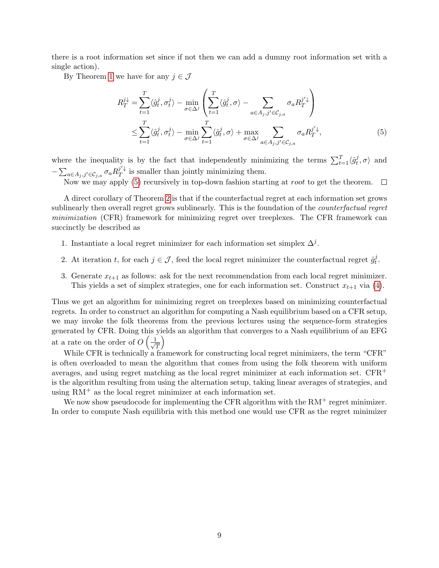there is a root information set since if not then we can add a dummy root information set with a single action).

By Theorem [1](#page-7-0) we have for any  $j \in \mathcal{J}$ 

<span id="page-8-0"></span>
$$
R_T^{j\downarrow} = \sum_{t=1}^T \langle \hat{g}_t^j, \sigma_t^j \rangle - \min_{\sigma \in \Delta^j} \left( \sum_{t=1}^T \langle \hat{g}_t^j, \sigma \rangle - \sum_{a \in A_j, j' \in \mathcal{C}_{j,a}} \sigma_a R_T^{j'\downarrow} \right)
$$
  

$$
\leq \sum_{t=1}^T \langle \hat{g}_t^j, \sigma_t^j \rangle - \min_{\sigma \in \Delta^j} \sum_{t=1}^T \langle \hat{g}_t^j, \sigma \rangle + \max_{\sigma \in \Delta^j} \sum_{a \in A_j, j' \in \mathcal{C}_{j,a}} \sigma_a R_T^{j'\downarrow}, \tag{5}
$$

where the inequality is by the fact that independently minimizing the terms  $\sum_{t=1}^{T} \langle \hat{g}_t^j \rangle$  $t^J$ ,  $\sigma$  and  $-\sum_{a\in A_j,j'\in\mathcal{C}_{j,a}}\sigma_a R_T^{j'\downarrow}$  $U^{\downarrow}$  is smaller than jointly minimizing them.

Now we may apply [\(5\)](#page-8-0) recursively in top-down fashion starting at *root* to get the theorem.

A direct corollary of Theorem [2](#page-7-1) is that if the counterfactual regret at each information set grows sublinearly then overall regret grows sublinearly. This is the foundation of the counterfactual regret minimization (CFR) framework for minimizing regret over treeplexes. The CFR framework can succinctly be described as

- 1. Instantiate a local regret minimizer for each information set simplex  $\Delta^j$ .
- 2. At iteration t, for each  $j \in \mathcal{J}$ , feed the local regret minimizer the counterfactual regret  $\hat{g}_t^j$  $\frac{j}{t}$ .
- 3. Generate  $x_{t+1}$  as follows: ask for the next recommendation from each local regret minimizer. This yields a set of simplex strategies, one for each information set. Construct  $x_{t+1}$  via [\(4\)](#page-6-0).

Thus we get an algorithm for minimizing regret on treeplexes based on minimizing counterfactual regrets. In order to construct an algorithm for computing a Nash equilibrium based on a CFR setup, we may invoke the folk theorems from the previous lectures using the sequence-form strategies generated by CFR. Doing this yields an algorithm that converges to a Nash equilibrium of an EFG at a rate on the order of  $O\left(\frac{1}{\sqrt{2}}\right)$ T  $\setminus$ 

While CFR is technically a framework for constructing local regret minimizers, the term "CFR" is often overloaded to mean the algorithm that comes from using the folk theorem with uniform averages, and using regret matching as the local regret minimizer at each information set. CFR<sup>+</sup> is the algorithm resulting from using the alternation setup, taking linear averages of strategies, and using  $RM^+$  as the local regret minimizer at each information set.

We now show pseudocode for implementing the CFR algorithm with the  $RM^+$  regret minimizer. In order to compute Nash equilibria with this method one would use CFR as the regret minimizer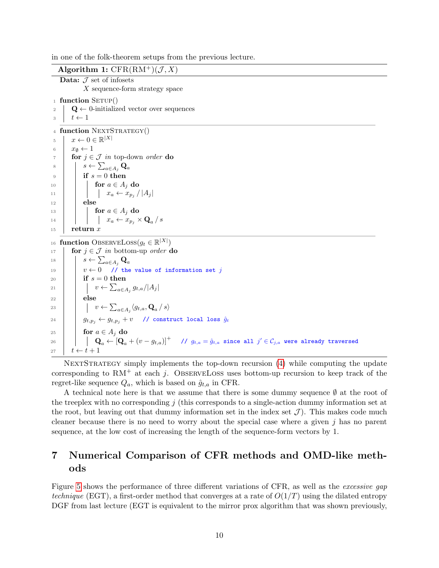in one of the folk-theorem setups from the previous lecture.

Algorithm 1:  $CFR(RM^{+})$  $(\mathcal{J}, X)$ Data:  $J$  set of infosets X sequence-form strategy space  $_1$  function SETUP() **Q** ← 0-initialized vector over sequences  $t \leftarrow 1$ 4 function NEXTSTRATEGY()  $x \leftarrow 0 \in \mathbb{R}^{|X|}$  $x_{\emptyset} \leftarrow 1$ <br>7 for  $i \in$ for  $j \in \mathcal{J}$  in top-down order do  $s \leftarrow \sum_{a \in A_j} \mathbf{Q}_a$  $\overline{9}$  | if  $s = 0$  then **for**  $a \in A_i$  do  $\vert$   $\vert$   $\vert$   $\vert$   $\vert$   $x_a \leftarrow x_{p_j} / |A_j|$  $12$  else **for**  $a \in A_i$  do  $\vert$   $\vert$   $\vert$   $\vert$   $x_a \leftarrow x_{p_j} \times \mathbf{Q}_a / s$  $15$  return x **function** ObserveLoss $(g_t \in \mathbb{R}^{|X|})$ **for**  $j \in \mathcal{J}$  in bottom-up order **do**  $s \leftarrow \sum_{a \in A_j} \mathbf{Q}_a$  $| v \leftarrow 0$  // the value of information set j **if**  $s = 0$  then  $\vert \qquad \vert \qquad v \leftarrow \sum_{a \in A_j} g_{t,a} / |A_j|$  $\vert$  else  $\vert \vert \vert v \leftarrow \sum_{a \in A_j} \langle g_{t,a}, \mathbf{Q}_a / s \rangle$  $g_t$   $g_{t,p_j}$   $\leftarrow$   $g_{t,p_j}$  + v  $\neq$   $\neq$  construct local loss  $\hat{g}_t$ **for**  $a \in A_i$  do  $\begin{array}{|c|c|c|c|c|}\hline & & {\bf Q}_a \leftarrow & {\bf [Q}_a + \left( v - g_{t,a}) \right]^+ & \quad \textit{// $g_{t,a} = \hat{g}_{t,a}$ since all $j' \in \mathcal{C}_{j,a}$ were already traversed.} \end{array}$  $t \leftarrow t + 1$ 

NEXTSTRATEGY simply implements the top-down recursion [\(4\)](#page-6-0) while computing the update corresponding to  $RM^+$  at each j. OBSERVELOSS uses bottom-up recursion to keep track of the regret-like sequence  $Q_a$ , which is based on  $\hat{g}_{t,a}$  in CFR.

A technical note here is that we assume that there is some dummy sequence  $\emptyset$  at the root of the treeplex with no corresponding  $j$  (this corresponds to a single-action dummy information set at the root, but leaving out that dummy information set in the index set  $\mathcal{J}$ ). This makes code much cleaner because there is no need to worry about the special case where a given j has no parent sequence, at the low cost of increasing the length of the sequence-form vectors by 1.

# 7 Numerical Comparison of CFR methods and OMD-like methods

Figure [5](#page-10-0) shows the performance of three different variations of CFR, as well as the excessive gap technique (EGT), a first-order method that converges at a rate of  $O(1/T)$  using the dilated entropy DGF from last lecture (EGT is equivalent to the mirror prox algorithm that was shown previously,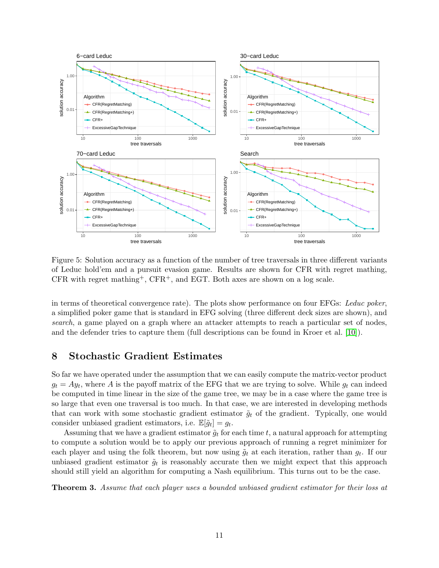

<span id="page-10-0"></span>Figure 5: Solution accuracy as a function of the number of tree traversals in three different variants of Leduc hold'em and a pursuit evasion game. Results are shown for CFR with regret mathing, CFR with regret mathing<sup>+</sup>, CFR<sup>+</sup>, and EGT. Both axes are shown on a log scale.

in terms of theoretical convergence rate). The plots show performance on four EFGs: Leduc poker, a simplified poker game that is standard in EFG solving (three different deck sizes are shown), and search, a game played on a graph where an attacker attempts to reach a particular set of nodes, and the defender tries to capture them (full descriptions can be found in Kroer et al. [\[10\]](#page-13-0)).

# 8 Stochastic Gradient Estimates

So far we have operated under the assumption that we can easily compute the matrix-vector product  $g_t = Ay_t$ , where A is the payoff matrix of the EFG that we are trying to solve. While  $g_t$  can indeed be computed in time linear in the size of the game tree, we may be in a case where the game tree is so large that even one traversal is too much. In that case, we are interested in developing methods that can work with some stochastic gradient estimator  $\tilde{g}_t$  of the gradient. Typically, one would consider unbiased gradient estimators, i.e.  $\mathbb{E}[\tilde{g}_t] = g_t$ .

Assuming that we have a gradient estimator  $\tilde{g}_t$  for each time t, a natural approach for attempting to compute a solution would be to apply our previous approach of running a regret minimizer for each player and using the folk theorem, but now using  $\tilde{g}_t$  at each iteration, rather than  $g_t$ . If our unbiased gradient estimator  $\tilde{g}_t$  is reasonably accurate then we might expect that this approach should still yield an algorithm for computing a Nash equilibrium. This turns out to be the case.

<span id="page-10-1"></span>Theorem 3. Assume that each player uses a bounded unbiased gradient estimator for their loss at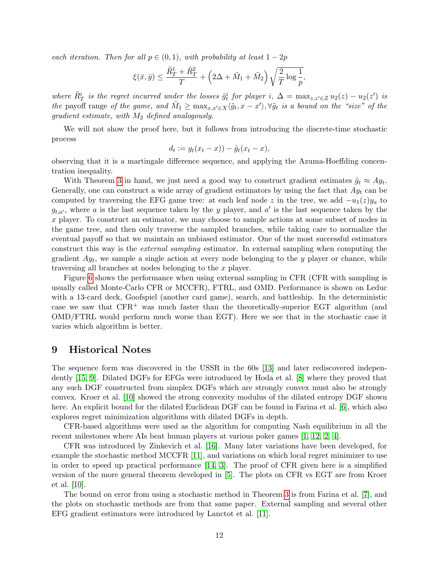each iteration. Then for all  $p \in (0,1)$ , with probability at least  $1-2p$ 

$$
\xi(\bar{x},\bar{y}) \leq \frac{\tilde{R}_T^1 + \tilde{R}_T^2}{T} + \left(2\Delta + \tilde{M}_1 + \tilde{M}_2\right) \sqrt{\frac{2}{T} \log \frac{1}{p}},
$$

where  $\tilde{R}^i_T$  is the regret incurred under the losses  $\tilde{g}^i_t$  for player i,  $\Delta = \max_{z,z'\in Z} u_2(z) - u_2(z')$  is the payoff range of the game, and  $\tilde{M}_1 \ge \max_{x,x'\in X} \langle \tilde{g}_t, x-x' \rangle$ ,  $\forall \tilde{g}_t$  is a bound on the "size" of the gradient estimate, with  $M_2$  defined analogously.

We will not show the proof here, but it follows from introducing the discrete-time stochastic process

$$
d_t := g_t(x_t - x)) - \tilde{g}_t(x_t - x),
$$

observing that it is a martingale difference sequence, and applying the Azuma-Hoeffding concentration inequality.

With Theorem [3](#page-10-1) in hand, we just need a good way to construct gradient estimates  $\tilde{g}_t \approx A y_t$ . Generally, one can construct a wide array of gradient estimators by using the fact that  $Ay_t$  can be computed by traversing the EFG game tree: at each leaf node z in the tree, we add  $-u_1(z)y_a$  to  $g_{t,a'}$ , where a is the last sequence taken by the y player, and a' is the last sequence taken by the x player. To construct an estimator, we may choose to sample actions at some subset of nodes in the game tree, and then only traverse the sampled branches, while taking care to normalize the eventual payoff so that we maintain an unbiased estimator. One of the most successful estimators construct this way is the external sampling estimator. In external sampling when computing the gradient  $Ay_t$ , we sample a single action at every node belonging to the y player or chance, while traversing all branches at nodes belonging to the x player.

Figure [6](#page-12-0) shows the performance when using external sampling in CFR (CFR with sampling is usually called Monte-Carlo CFR or MCCFR), FTRL, and OMD. Performance is shown on Leduc with a 13-card deck, Goofspiel (another card game), search, and battleship. In the deterministic case we saw that  $CFR^+$  was much faster than the theoretically-superior EGT algorithm (and OMD/FTRL would perform much worse than EGT). Here we see that in the stochastic case it varies which algorithm is better.

#### 9 Historical Notes

The sequence form was discovered in the USSR in the 60s [\[13\]](#page-13-1) and later rediscovered independently [\[15,](#page-13-2) [9\]](#page-13-3). Dilated DGFs for EFGs were introduced by Hoda et al. [\[8\]](#page-13-4) where they proved that any such DGF constructed from simplex DGFs which are strongly convex must also be strongly convex. Kroer et al. [\[10\]](#page-13-0) showed the strong convexity modulus of the dilated entropy DGF shown here. An explicit bound for the dilated Euclidean DGF can be found in Farina et al. [\[6\]](#page-12-1), which also explores regret minimization algorithms with dilated DGFs in depth.

CFR-based algorithms were used as the algorithm for computing Nash equilibrium in all the recent milestones where AIs beat human players at various poker games [\[1,](#page-12-2) [12,](#page-13-5) [2,](#page-12-3) [4\]](#page-12-4).

CFR was introduced by Zinkevich et al. [\[16\]](#page-13-6). Many later variations have been developed, for example the stochastic method MCCFR [\[11\]](#page-13-7), and variations on which local regret minimizer to use in order to speed up practical performance [\[14,](#page-13-8) [3\]](#page-12-5). The proof of CFR given here is a simplified version of the more general theorem developed in [\[5\]](#page-12-6). The plots on CFR vs EGT are from Kroer et al. [\[10\]](#page-13-0).

The bound on error from using a stochastic method in Theorem [3](#page-10-1) is from Farina et al. [\[7\]](#page-12-7), and the plots on stochastic methods are from that same paper. External sampling and several other EFG gradient estimators were introduced by Lanctot et al. [\[11\]](#page-13-7).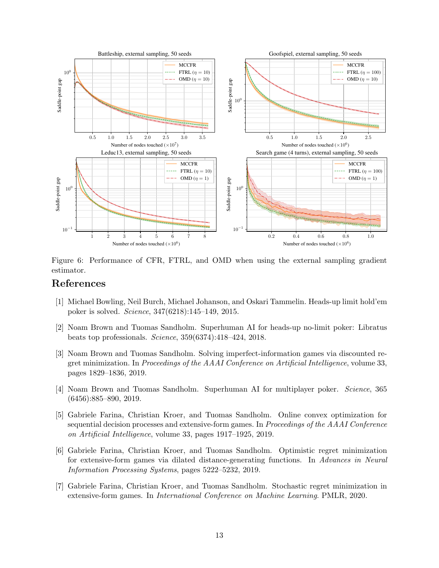

<span id="page-12-0"></span>Figure 6: Performance of CFR, FTRL, and OMD when using the external sampling gradient estimator.

# References

- <span id="page-12-2"></span>[1] Michael Bowling, Neil Burch, Michael Johanson, and Oskari Tammelin. Heads-up limit hold'em poker is solved. Science, 347(6218):145–149, 2015.
- <span id="page-12-3"></span>[2] Noam Brown and Tuomas Sandholm. Superhuman AI for heads-up no-limit poker: Libratus beats top professionals. Science, 359(6374):418–424, 2018.
- <span id="page-12-5"></span>[3] Noam Brown and Tuomas Sandholm. Solving imperfect-information games via discounted regret minimization. In Proceedings of the AAAI Conference on Artificial Intelligence, volume 33, pages 1829–1836, 2019.
- <span id="page-12-4"></span>[4] Noam Brown and Tuomas Sandholm. Superhuman AI for multiplayer poker. Science, 365 (6456):885–890, 2019.
- <span id="page-12-6"></span>[5] Gabriele Farina, Christian Kroer, and Tuomas Sandholm. Online convex optimization for sequential decision processes and extensive-form games. In Proceedings of the AAAI Conference on Artificial Intelligence, volume 33, pages 1917–1925, 2019.
- <span id="page-12-1"></span>[6] Gabriele Farina, Christian Kroer, and Tuomas Sandholm. Optimistic regret minimization for extensive-form games via dilated distance-generating functions. In Advances in Neural Information Processing Systems, pages 5222–5232, 2019.
- <span id="page-12-7"></span>[7] Gabriele Farina, Christian Kroer, and Tuomas Sandholm. Stochastic regret minimization in extensive-form games. In International Conference on Machine Learning. PMLR, 2020.